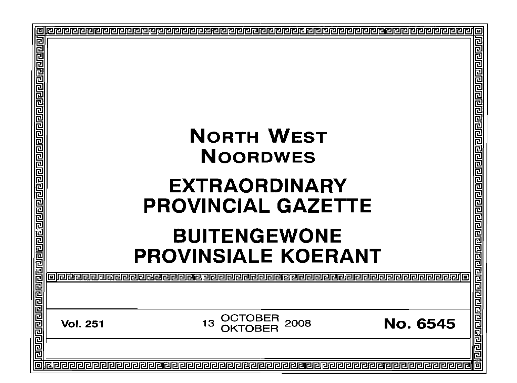| 回 | <b>NORTH WEST</b><br><b>NOORDWES</b><br><b>EXTRAORDINARY</b><br><b>PROVINCIAL GAZETTE</b><br><b>BUITENGEWONE</b> |                       | <b>PROVINSIALE KOERANT</b> | ववववववववववववववव |
|---|------------------------------------------------------------------------------------------------------------------|-----------------------|----------------------------|-----------------|
|   |                                                                                                                  |                       |                            | 민리민리민리민리민리민리민리민 |
|   | <b>Vol. 251</b>                                                                                                  | OCTOBER<br>2008<br>13 | No. 6545                   |                 |
|   |                                                                                                                  |                       |                            | 回               |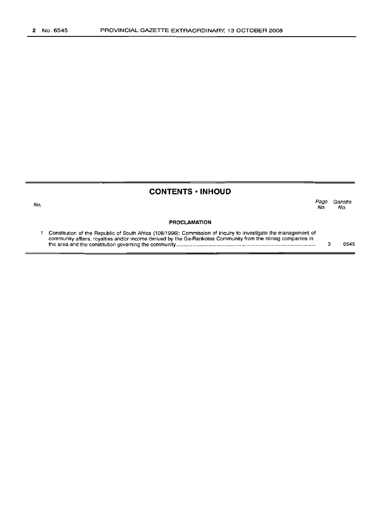No.

### **CONTENTS· INHOUD**

*Page Gazette* No. No.

#### **PROCLAMATION**

Constitution of the Republic of South Africa (108/1996): Commission of Inquiry to investigate the management of  $\mathbf{1}$ community affairs, royalties and/or income derived by the Ga-Rankotea Community from the mining companies in the area and the constitution governing the community . 3 6545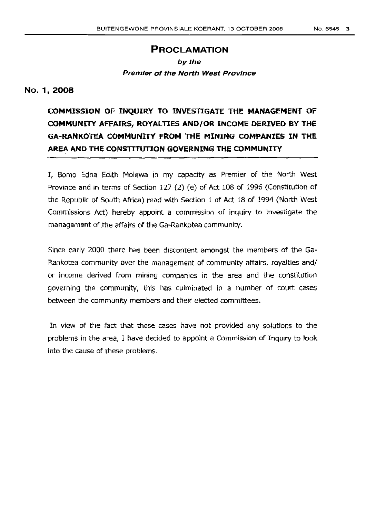### **PROCLAMATION**

## by the **Premier of the North West Province**

### No. 1,2008

## **COMMISSION OF INQUIRY TO INVESTIGATE THE MANAGEMENT OF COMMUNITY AFFAIRS, ROYALTIES AND/OR INCOME DERIVED BY THE GA-RANKOTEA COMMUNITY FROM THE MINING COMPANIES IN THE AREA AND THE CONSTITUTION GOVERNING THE COMMUNITY**

I, Bomo Edna Edith Molewa in my capacity as Premier of the North West Province and in terms of Section 127 (2) (e) of Act 108 of 1996 (Constitution of the Republic of South Africa) read with Section 1 of Act 18 of 1994 (North West Commissions Act) hereby appoint a commission of inquiry to investigate the management of the affairs of the Ga-Rankotea community.

Since early 2000 there has been discontent amongst the members of the Ga-Rankotea community over the management of community affairs, royalties and/ or income derived from mining companies in the area and the constitution governing the community, this has culminated in a number of court cases between the community members and their elected committees.

In view of the fact that these cases have not provided any solutions to the problems in the area, I have decided to appoint a Commission of Inquiry to look into the cause of these problems.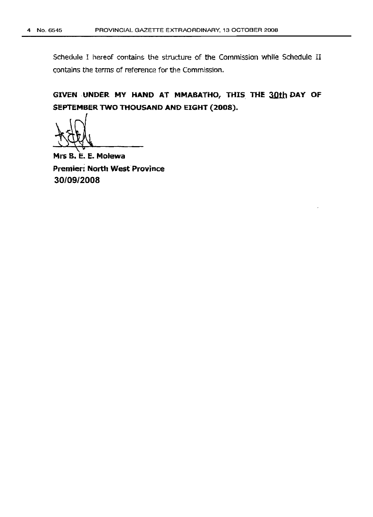Schedule I hereof contains the structure of the Commission while Schedule II contains the terms of reference for the Commission.

GIVEN UNDER MY HAND AT MMABATHO, THIS THE 30th DAY OF SEPTEMBER TWO THOUSAND AND EIGHT (2008).

1951

Mrs 8. E. E. Molewa Premier; North West Province *30/09/2008*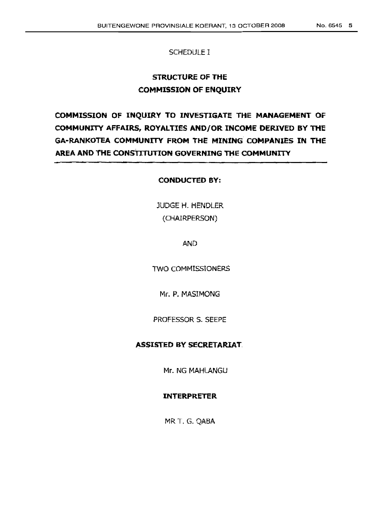### SCHEDULE I

### **STRUCTURE OF THE COMMISSION OF ENQUIRY**

**COMMISSION OF INQUIRY TO INVESTIGATE THE MANAGEMENT OF COMMUNITY AFFAIRS, ROYALTIES AND/OR INCOME DERIVED BY THE GA-RANKOTEA COMMUNITY FROM THE MINING COMPANIES IN THE AREA AND THE CONSTITuTION GOVERNING THE COMMUNITY**

### **CONDUCTED BY:**

JUDGE H. HENDLER (CHAIRPERSON)

AND

TWO COMMISSIONERS

Mr. P. MASIMONG

PROFESSOR S. SEEPE

### **ASSISTED BY SECRETARIAT,**

Mr. NG MAHLANGU

#### **INTERPRETER**

MR T. G. QABA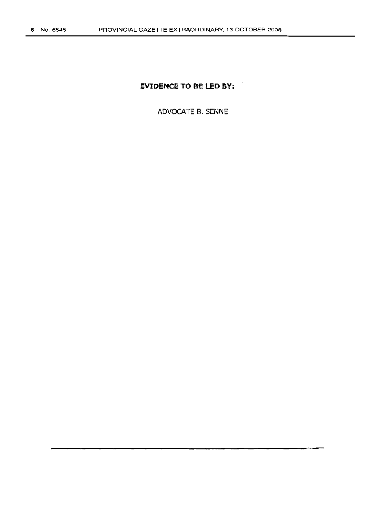### **EVIDENCE TO BE LED BY:**

 $\cdot$ 

ADVOCATE B. SENNE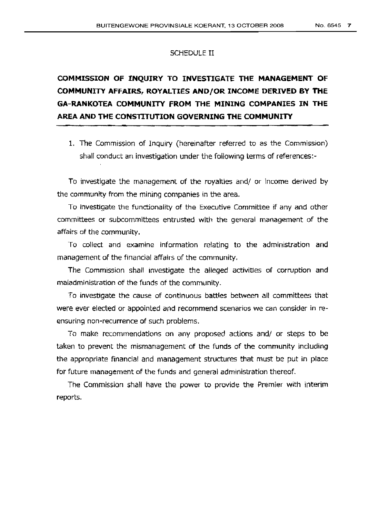#### SCHEDULE II

# **COMMISSION OF INQUIRY TO INVESTIGATE THE MANAGEMENT OF COMMUNITY AFFAIRS, ROYALTIES AND/OR INCOME DERIVED BY THE GA-RANKOTEA COMMUNITY FROM THE MINING COMPANIES IN THE AREA AND THE CONSTITUTION GOVERNING THE COMMUNITY**

1. The Commission of Inquiry (hereinafter referred to as the Commission) shall conduct an investigation under the following terms of references:-

To investigate the management of the royalties and/ or income derived by the community from the mining companies in the area.

To investigate the functionality of the Executive Committee if any and other committees or subcommittees entrusted with the general management of the affairs of the community.

To collect and examine information relating to the administration and management of the financial affairs of the community.

The Commission shall investigate the alleged activities of corruption and maladministration of the funds of the community.

To investigate the cause of continuous battles between all committees that were ever elected or appointed and recommend scenarios we can consider in reensuring non-recurrence of such problems.

To make recommendations on any proposed actions and/ or steps to be taken to prevent the mismanagement of the funds of the community including the appropriate financial and management structures that must be put in place for future management of the funds and general administration thereof.

The Commission shall have the power to provide the Premier With interim reports.